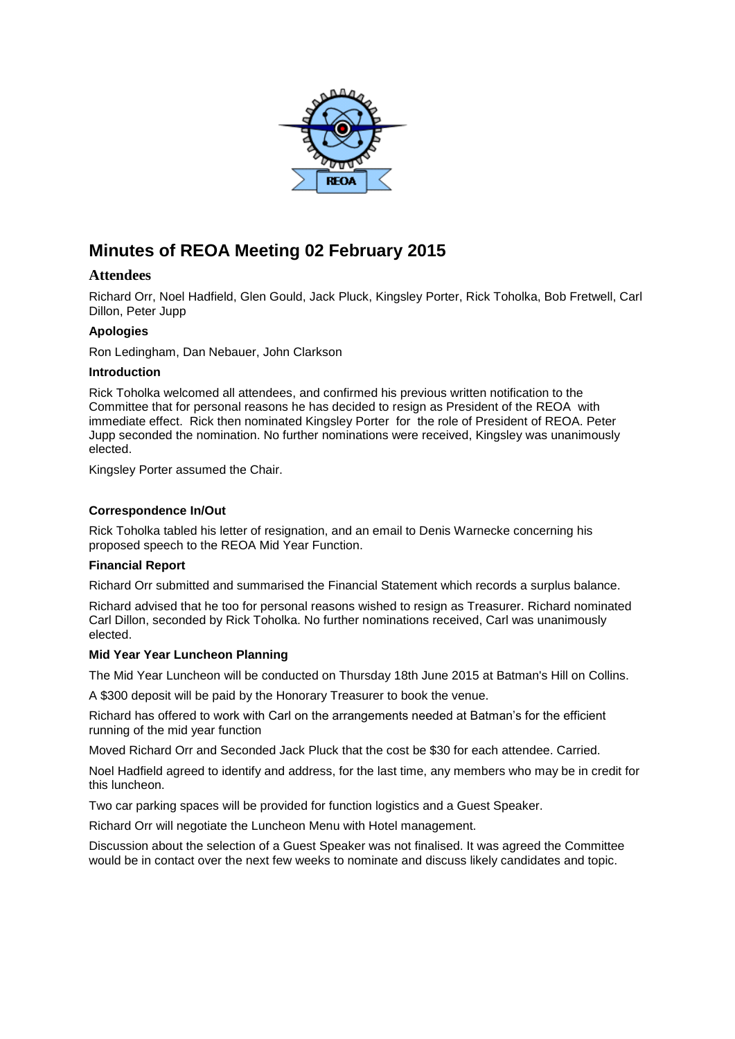

# **Minutes of REOA Meeting 02 February 2015**

# **Attendees**

Richard Orr, Noel Hadfield, Glen Gould, Jack Pluck, Kingsley Porter, Rick Toholka, Bob Fretwell, Carl Dillon, Peter Jupp

# **Apologies**

Ron Ledingham, Dan Nebauer, John Clarkson

## **Introduction**

Rick Toholka welcomed all attendees, and confirmed his previous written notification to the Committee that for personal reasons he has decided to resign as President of the REOA with immediate effect. Rick then nominated Kingsley Porter for the role of President of REOA. Peter Jupp seconded the nomination. No further nominations were received, Kingsley was unanimously elected.

Kingsley Porter assumed the Chair.

## **Correspondence In/Out**

Rick Toholka tabled his letter of resignation, and an email to Denis Warnecke concerning his proposed speech to the REOA Mid Year Function.

## **Financial Report**

Richard Orr submitted and summarised the Financial Statement which records a surplus balance.

Richard advised that he too for personal reasons wished to resign as Treasurer. Richard nominated Carl Dillon, seconded by Rick Toholka. No further nominations received, Carl was unanimously elected.

## **Mid Year Year Luncheon Planning**

The Mid Year Luncheon will be conducted on Thursday 18th June 2015 at Batman's Hill on Collins.

A \$300 deposit will be paid by the Honorary Treasurer to book the venue.

Richard has offered to work with Carl on the arrangements needed at Batman's for the efficient running of the mid year function

Moved Richard Orr and Seconded Jack Pluck that the cost be \$30 for each attendee. Carried.

Noel Hadfield agreed to identify and address, for the last time, any members who may be in credit for this luncheon.

Two car parking spaces will be provided for function logistics and a Guest Speaker.

Richard Orr will negotiate the Luncheon Menu with Hotel management.

Discussion about the selection of a Guest Speaker was not finalised. It was agreed the Committee would be in contact over the next few weeks to nominate and discuss likely candidates and topic.